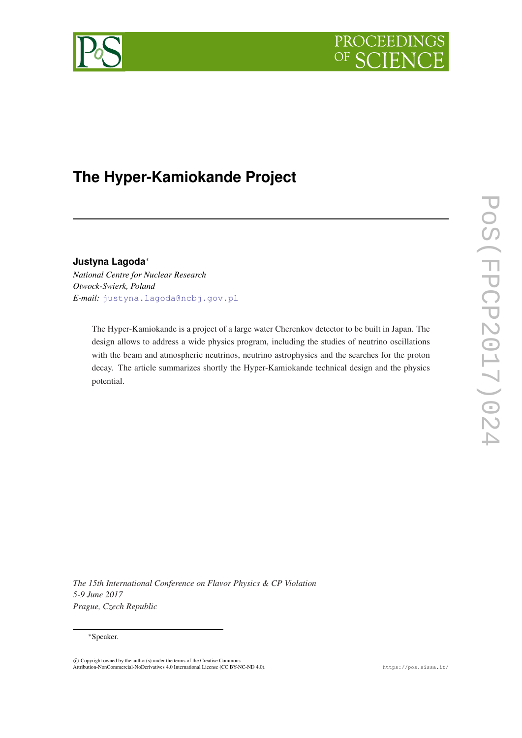



# **The Hyper-Kamiokande Project**

# **Justyna Lagoda**<sup>∗</sup>

*National Centre for Nuclear Research Otwock-Swierk, Poland E-mail:* [justyna.lagoda@ncbj.gov.pl](mailto:justyna.lagoda@ncbj.gov.pl)

> The Hyper-Kamiokande is a project of a large water Cherenkov detector to be built in Japan. The design allows to address a wide physics program, including the studies of neutrino oscillations with the beam and atmospheric neutrinos, neutrino astrophysics and the searches for the proton decay. The article summarizes shortly the Hyper-Kamiokande technical design and the physics potential.

POS(FPCP2017)024 PoS(FPCP2017)024

*The 15th International Conference on Flavor Physics & CP Violation 5-9 June 2017 Prague, Czech Republic*

## <sup>∗</sup>Speaker.

c Copyright owned by the author(s) under the terms of the Creative Commons Attribution-NonCommercial-NoDerivatives 4.0 International License (CC BY-NC-ND 4.0). https://pos.sissa.it/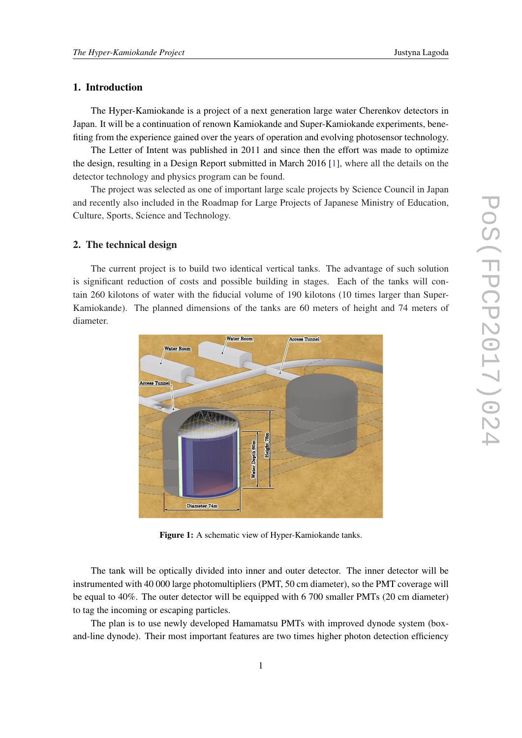# 1. Introduction

The Hyper-Kamiokande is a project of a next generation large water Cherenkov detectors in Japan. It will be a continuation of renown Kamiokande and Super-Kamiokande experiments, benefiting from the experience gained over the years of operation and evolving photosensor technology.

The Letter of Intent was published in 2011 and since then the effort was made to optimize the design, resulting in a Design Report submitted in March 2016 [\[1\]](#page-7-0), where all the details on the detector technology and physics program can be found.

The project was selected as one of important large scale projects by Science Council in Japan and recently also included in the Roadmap for Large Projects of Japanese Ministry of Education, Culture, Sports, Science and Technology.

# 2. The technical design

The current project is to build two identical vertical tanks. The advantage of such solution is significant reduction of costs and possible building in stages. Each of the tanks will contain 260 kilotons of water with the fiducial volume of 190 kilotons (10 times larger than Super-Kamiokande). The planned dimensions of the tanks are 60 meters of height and 74 meters of diameter.



Figure 1: A schematic view of Hyper-Kamiokande tanks.

The tank will be optically divided into inner and outer detector. The inner detector will be instrumented with 40 000 large photomultipliers (PMT, 50 cm diameter), so the PMT coverage will be equal to 40%. The outer detector will be equipped with 6 700 smaller PMTs (20 cm diameter) to tag the incoming or escaping particles.

The plan is to use newly developed Hamamatsu PMTs with improved dynode system (boxand-line dynode). Their most important features are two times higher photon detection efficiency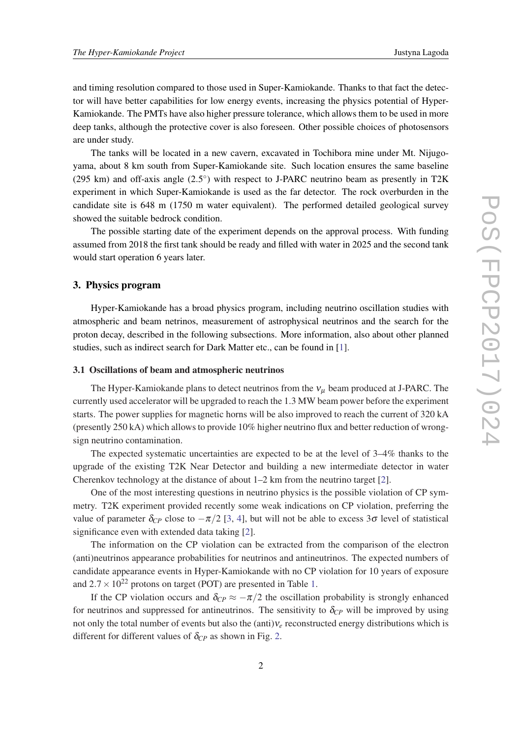and timing resolution compared to those used in Super-Kamiokande. Thanks to that fact the detector will have better capabilities for low energy events, increasing the physics potential of Hyper-Kamiokande. The PMTs have also higher pressure tolerance, which allows them to be used in more deep tanks, although the protective cover is also foreseen. Other possible choices of photosensors are under study.

The tanks will be located in a new cavern, excavated in Tochibora mine under Mt. Nijugoyama, about 8 km south from Super-Kamiokande site. Such location ensures the same baseline (295 km) and off-axis angle  $(2.5^{\circ})$  with respect to J-PARC neutrino beam as presently in T2K experiment in which Super-Kamiokande is used as the far detector. The rock overburden in the candidate site is 648 m (1750 m water equivalent). The performed detailed geological survey showed the suitable bedrock condition.

The possible starting date of the experiment depends on the approval process. With funding assumed from 2018 the first tank should be ready and filled with water in 2025 and the second tank would start operation 6 years later.

## 3. Physics program

Hyper-Kamiokande has a broad physics program, including neutrino oscillation studies with atmospheric and beam netrinos, measurement of astrophysical neutrinos and the search for the proton decay, described in the following subsections. More information, also about other planned studies, such as indirect search for Dark Matter etc., can be found in [[1](#page-7-0)].

#### 3.1 Oscillations of beam and atmospheric neutrinos

The Hyper-Kamiokande plans to detect neutrinos from the  $v_\mu$  beam produced at J-PARC. The currently used accelerator will be upgraded to reach the 1.3 MW beam power before the experiment starts. The power supplies for magnetic horns will be also improved to reach the current of 320 kA (presently 250 kA) which allows to provide 10% higher neutrino flux and better reduction of wrongsign neutrino contamination.

The expected systematic uncertainties are expected to be at the level of 3–4% thanks to the upgrade of the existing T2K Near Detector and building a new intermediate detector in water Cherenkov technology at the distance of about 1–2 km from the neutrino target [[2](#page-7-0)].

One of the most interesting questions in neutrino physics is the possible violation of CP symmetry. T2K experiment provided recently some weak indications on CP violation, preferring the value of parameter  $\delta_{CP}$  close to  $-\pi/2$  [[3](#page-7-0), [4\]](#page-7-0), but will not be able to excess  $3\sigma$  level of statistical significance even with extended data taking [[2](#page-7-0)].

The information on the CP violation can be extracted from the comparison of the electron (anti)neutrinos appearance probabilities for neutrinos and antineutrinos. The expected numbers of candidate appearance events in Hyper-Kamiokande with no CP violation for 10 years of exposure and  $2.7 \times 10^{22}$  protons on target (POT) are presented in Table [1.](#page-3-0)

If the CP violation occurs and  $\delta_{CP} \approx -\pi/2$  the oscillation probability is strongly enhanced for neutrinos and suppressed for antineutrinos. The sensitivity to  $\delta_{CP}$  will be improved by using not only the total number of events but also the (anti)ν*<sup>e</sup>* reconstructed energy distributions which is different for different values of  $\delta_{CP}$  as shown in Fig. [2.](#page-3-0)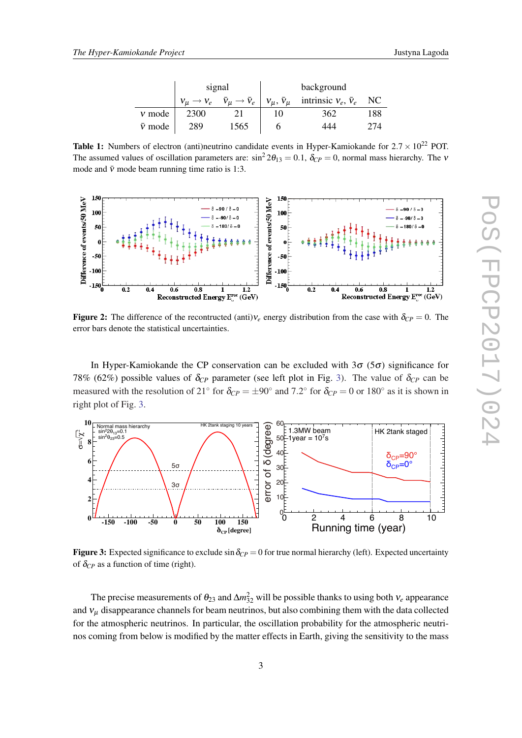| Justyna Lagoda |  |
|----------------|--|
|----------------|--|

|                | signal |                                                                 | background |                                                           |     |
|----------------|--------|-----------------------------------------------------------------|------------|-----------------------------------------------------------|-----|
|                |        | $V_\mu \rightarrow V_e \quad \bar{V}_\mu \rightarrow \bar{V}_e$ |            | $v_{\mu}$ , $\bar{v}_{\mu}$ intrinsic $v_e$ , $\bar{v}_e$ | NC. |
| $v$ mode       | 2300   |                                                                 |            | 362                                                       | 188 |
| $\bar{v}$ mode | 289    | 1565                                                            |            | +44                                                       |     |

<span id="page-3-0"></span>**Table 1:** Numbers of electron (anti)neutrino candidate events in Hyper-Kamiokande for  $2.7 \times 10^{22}$  POT. The assumed values of oscillation parameters are:  $\sin^2 2\theta_{13} = 0.1$ ,  $\delta_{CP} = 0$ , normal mass hierarchy. The v mode and  $\bar{v}$  mode beam running time ratio is 1:3.



**Figure 2:** The difference of the recontructed (anti) $v_e$  energy distribution from the case with  $\delta_{CP} = 0$ . The error bars denote the statistical uncertainties.

In Hyper-Kamiokande the CP conservation can be excluded with  $3\sigma$  ( $5\sigma$ ) significance for 78% (62%) possible values of  $\delta_{CP}$  parameter (see left plot in Fig. 3). The value of  $\delta_{CP}$  can be measured with the resolution of 21<sup>°</sup> for  $\delta_{CP} = \pm 90^\circ$  and 7.2<sup>°</sup> for  $\delta_{CP} = 0$  or 180<sup>°</sup> as it is shown in right plot of Fig. 3.



Figure 3: Expected significance to exclude  $\sin \delta_{CP} = 0$  for true normal hierarchy (left). Expected uncertainty of  $\delta_{CP}$  as a function of time (right).

The precise measurements of  $\theta_{23}$  and  $\Delta m_{32}^2$  will be possible thanks to using both  $v_e$  appearance and  $v<sub>u</sub>$  disappearance channels for beam neutrinos, but also combining them with the data collected for the atmospheric neutrinos. In particular, the oscillation probability for the atmospheric neutrinos coming from below is modified by the matter effects in Earth, giving the sensitivity to the mass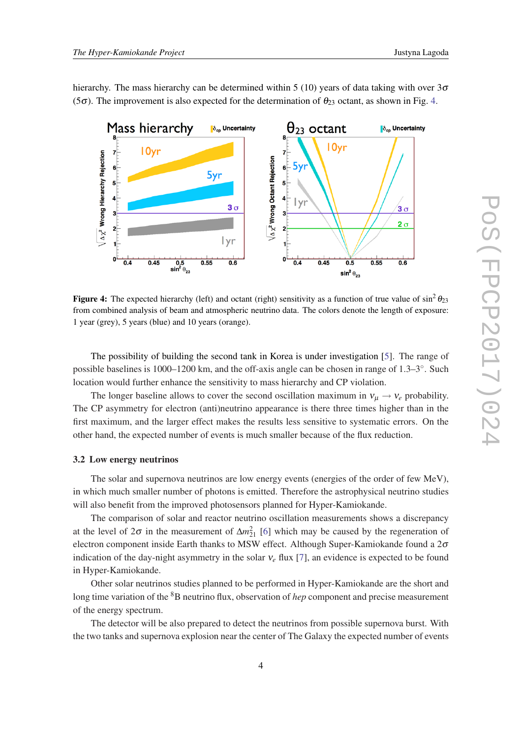hierarchy. The mass hierarchy can be determined within 5 (10) years of data taking with over  $3\sigma$ (5 $\sigma$ ). The improvement is also expected for the determination of  $\theta_{23}$  octant, as shown in Fig. 4.



Figure 4: The expected hierarchy (left) and octant (right) sensitivity as a function of true value of  $\sin^2 \theta_{23}$ from combined analysis of beam and atmospheric neutrino data. The colors denote the length of exposure: 1 year (grey), 5 years (blue) and 10 years (orange).

The possibility of building the second tank in Korea is under investigation [[5](#page-7-0)]. The range of possible baselines is 1000–1200 km, and the off-axis angle can be chosen in range of 1.3–3°. Such location would further enhance the sensitivity to mass hierarchy and CP violation.

The longer baseline allows to cover the second oscillation maximum in  $v_{\mu} \rightarrow v_e$  probability. The CP asymmetry for electron (anti)neutrino appearance is there three times higher than in the first maximum, and the larger effect makes the results less sensitive to systematic errors. On the other hand, the expected number of events is much smaller because of the flux reduction.

#### 3.2 Low energy neutrinos

The solar and supernova neutrinos are low energy events (energies of the order of few MeV), in which much smaller number of photons is emitted. Therefore the astrophysical neutrino studies will also benefit from the improved photosensors planned for Hyper-Kamiokande.

The comparison of solar and reactor neutrino oscillation measurements shows a discrepancy at the level of  $2\sigma$  in the measurement of  $\Delta m_{21}^2$  [\[6\]](#page-7-0) which may be caused by the regeneration of electron component inside Earth thanks to MSW effect. Although Super-Kamiokande found a  $2\sigma$ indication of the day-night asymmetry in the solar  $v_e$  flux [\[7\]](#page-7-0), an evidence is expected to be found in Hyper-Kamiokande.

Other solar neutrinos studies planned to be performed in Hyper-Kamiokande are the short and long time variation of the <sup>8</sup>B neutrino flux, observation of *hep* component and precise measurement of the energy spectrum.

The detector will be also prepared to detect the neutrinos from possible supernova burst. With the two tanks and supernova explosion near the center of The Galaxy the expected number of events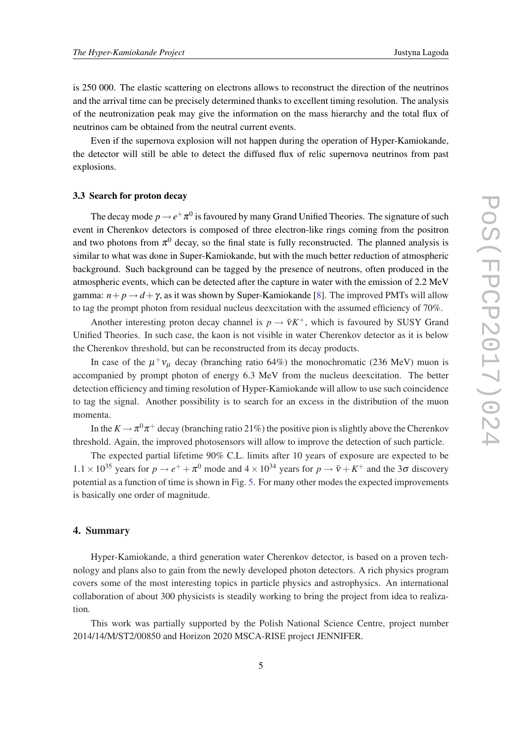is 250 000. The elastic scattering on electrons allows to reconstruct the direction of the neutrinos and the arrival time can be precisely determined thanks to excellent timing resolution. The analysis of the neutronization peak may give the information on the mass hierarchy and the total flux of neutrinos cam be obtained from the neutral current events.

Even if the supernova explosion will not happen during the operation of Hyper-Kamiokande, the detector will still be able to detect the diffused flux of relic supernova neutrinos from past explosions.

#### 3.3 Search for proton decay

The decay mode  $p \rightarrow e^+ \pi^0$  is favoured by many Grand Unified Theories. The signature of such event in Cherenkov detectors is composed of three electron-like rings coming from the positron and two photons from  $\pi^0$  decay, so the final state is fully reconstructed. The planned analysis is similar to what was done in Super-Kamiokande, but with the much better reduction of atmospheric background. Such background can be tagged by the presence of neutrons, often produced in the atmospheric events, which can be detected after the capture in water with the emission of 2.2 MeV gamma:  $n + p \rightarrow d + \gamma$ , as it was shown by Super-Kamiokande [\[8\]](#page-7-0). The improved PMTs will allow to tag the prompt photon from residual nucleus deexcitation with the assumed efficiency of 70%.

Another interesting proton decay channel is  $p \to \bar{v} K^+$ , which is favoured by SUSY Grand Unified Theories. In such case, the kaon is not visible in water Cherenkov detector as it is below the Cherenkov threshold, but can be reconstructed from its decay products.

In case of the  $\mu^+v_\mu$  decay (branching ratio 64%) the monochromatic (236 MeV) muon is accompanied by prompt photon of energy 6.3 MeV from the nucleus deexcitation. The better detection efficiency and timing resolution of Hyper-Kamiokande will allow to use such coincidence to tag the signal. Another possibility is to search for an excess in the distribution of the muon momenta.

In the  $K \to \pi^0 \pi^+$  decay (branching ratio 21%) the positive pion is slightly above the Cherenkov threshold. Again, the improved photosensors will allow to improve the detection of such particle.

The expected partial lifetime 90% C.L. limits after 10 years of exposure are expected to be  $1.1 \times 10^{35}$  years for  $p \to e^+ + \pi^0$  mode and  $4 \times 10^{34}$  years for  $p \to \bar{v} + K^+$  and the 3 $\sigma$  discovery potential as a function of time is shown in Fig. [5.](#page-6-0) For many other modes the expected improvements is basically one order of magnitude.

# 4. Summary

Hyper-Kamiokande, a third generation water Cherenkov detector, is based on a proven technology and plans also to gain from the newly developed photon detectors. A rich physics program covers some of the most interesting topics in particle physics and astrophysics. An international collaboration of about 300 physicists is steadily working to bring the project from idea to realization.

This work was partially supported by the Polish National Science Centre, project number 2014/14/M/ST2/00850 and Horizon 2020 MSCA-RISE project JENNIFER.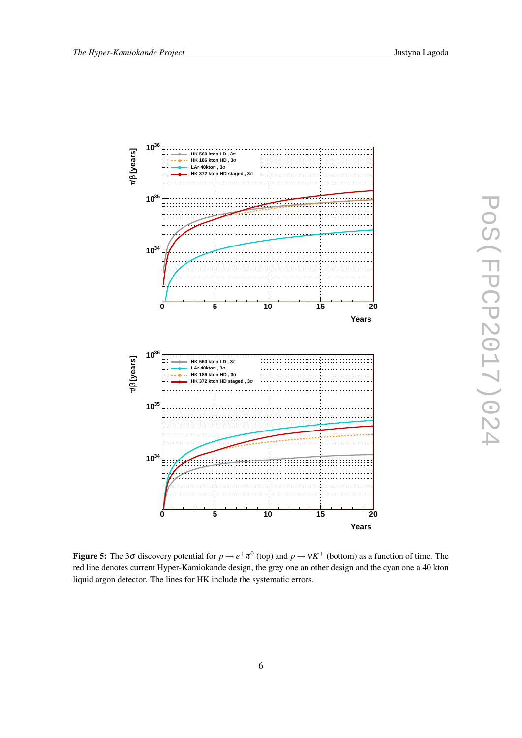<span id="page-6-0"></span>

Figure 5: The 3 $\sigma$  discovery potential for  $p \to e^+ \pi^0$  (top) and  $p \to vK^+$  (bottom) as a function of time. The red line denotes current Hyper-Kamiokande design, the grey one an other design and the cyan one a 40 kton liquid argon detector. The lines for HK include the systematic errors.